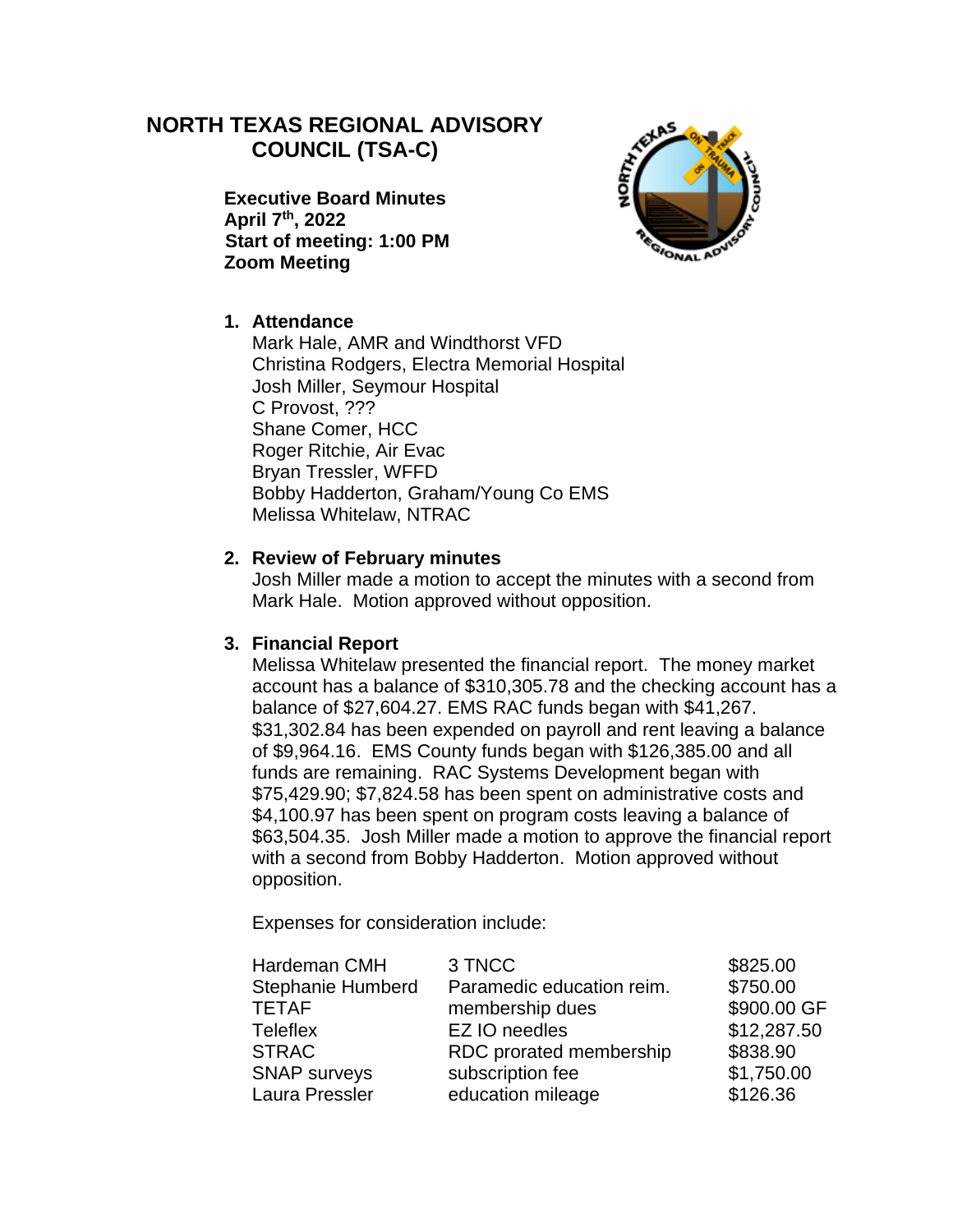# **NORTH TEXAS REGIONAL ADVISORY COUNCIL (TSA-C)**

**Executive Board Minutes April 7th, 2022 Start of meeting: 1:00 PM Zoom Meeting**



## **1. Attendance**

Mark Hale, AMR and Windthorst VFD Christina Rodgers, Electra Memorial Hospital Josh Miller, Seymour Hospital C Provost, ??? Shane Comer, HCC Roger Ritchie, Air Evac Bryan Tressler, WFFD Bobby Hadderton, Graham/Young Co EMS Melissa Whitelaw, NTRAC

## **2. Review of February minutes**

Josh Miller made a motion to accept the minutes with a second from Mark Hale. Motion approved without opposition.

#### **3. Financial Report**

Melissa Whitelaw presented the financial report. The money market account has a balance of \$310,305.78 and the checking account has a balance of \$27,604.27. EMS RAC funds began with \$41,267. \$31,302.84 has been expended on payroll and rent leaving a balance of \$9,964.16. EMS County funds began with \$126,385.00 and all funds are remaining. RAC Systems Development began with \$75,429.90; \$7,824.58 has been spent on administrative costs and \$4,100.97 has been spent on program costs leaving a balance of \$63,504.35. Josh Miller made a motion to approve the financial report with a second from Bobby Hadderton. Motion approved without opposition.

Expenses for consideration include:

| \$750.00    |
|-------------|
| \$900.00 GF |
| \$12,287.50 |
| \$838.90    |
| \$1,750.00  |
| \$126.36    |
|             |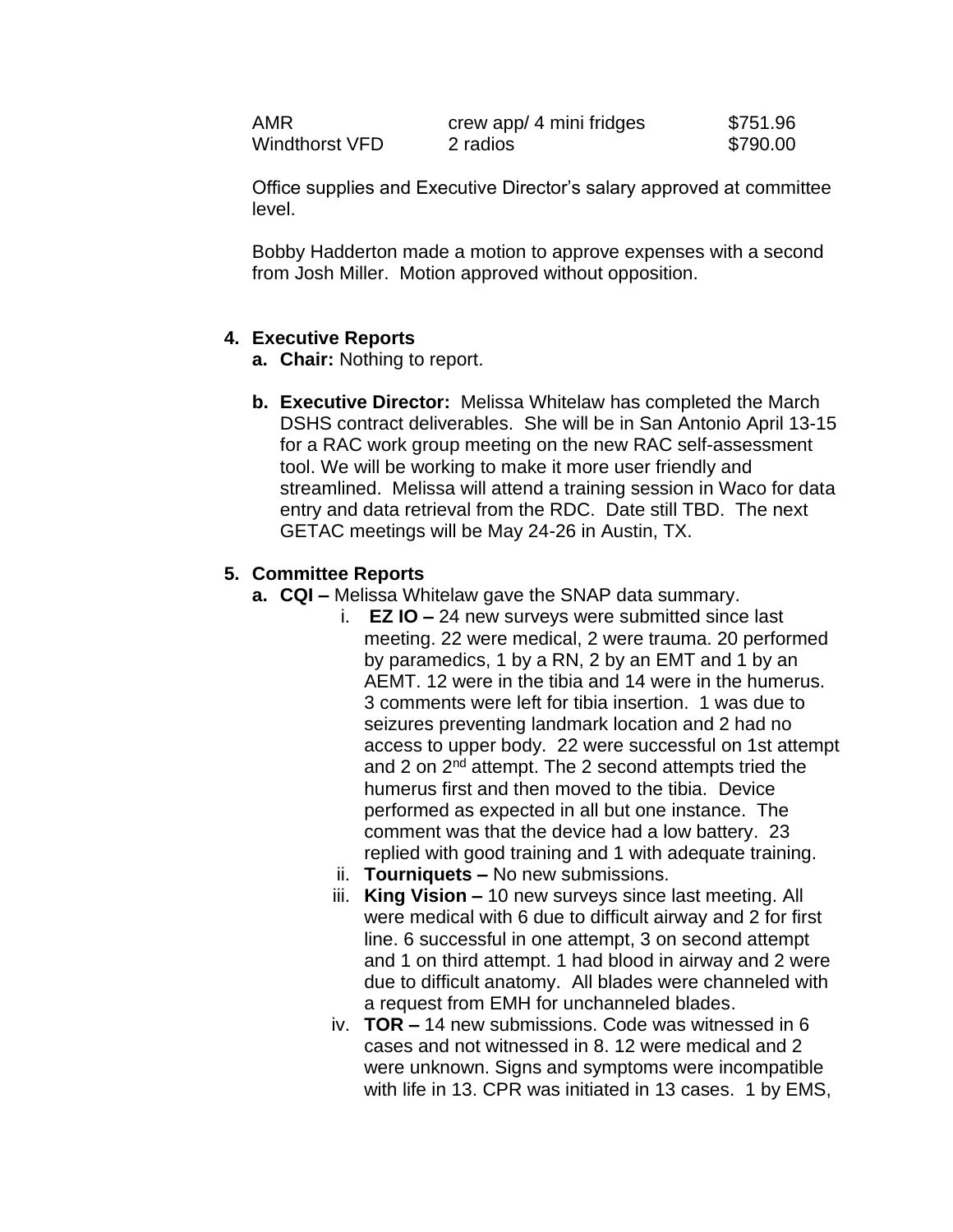| AMR            | crew app/ 4 mini fridges | \$751.96 |
|----------------|--------------------------|----------|
| Windthorst VFD | 2 radios                 | \$790.00 |

Office supplies and Executive Director's salary approved at committee level.

Bobby Hadderton made a motion to approve expenses with a second from Josh Miller. Motion approved without opposition.

#### **4. Executive Reports**

- **a. Chair:** Nothing to report.
- **b. Executive Director:** Melissa Whitelaw has completed the March DSHS contract deliverables. She will be in San Antonio April 13-15 for a RAC work group meeting on the new RAC self-assessment tool. We will be working to make it more user friendly and streamlined. Melissa will attend a training session in Waco for data entry and data retrieval from the RDC. Date still TBD. The next GETAC meetings will be May 24-26 in Austin, TX.

#### **5. Committee Reports**

- **a. CQI –** Melissa Whitelaw gave the SNAP data summary.
	- i. **EZ IO –** 24 new surveys were submitted since last meeting. 22 were medical, 2 were trauma. 20 performed by paramedics, 1 by a RN, 2 by an EMT and 1 by an AEMT. 12 were in the tibia and 14 were in the humerus. 3 comments were left for tibia insertion. 1 was due to seizures preventing landmark location and 2 had no access to upper body. 22 were successful on 1st attempt and 2 on 2<sup>nd</sup> attempt. The 2 second attempts tried the humerus first and then moved to the tibia. Device performed as expected in all but one instance. The comment was that the device had a low battery. 23 replied with good training and 1 with adequate training.
	- ii. **Tourniquets –** No new submissions.
	- iii. **King Vision –** 10 new surveys since last meeting. All were medical with 6 due to difficult airway and 2 for first line. 6 successful in one attempt, 3 on second attempt and 1 on third attempt. 1 had blood in airway and 2 were due to difficult anatomy. All blades were channeled with a request from EMH for unchanneled blades.
	- iv. **TOR –** 14 new submissions. Code was witnessed in 6 cases and not witnessed in 8. 12 were medical and 2 were unknown. Signs and symptoms were incompatible with life in 13. CPR was initiated in 13 cases. 1 by EMS,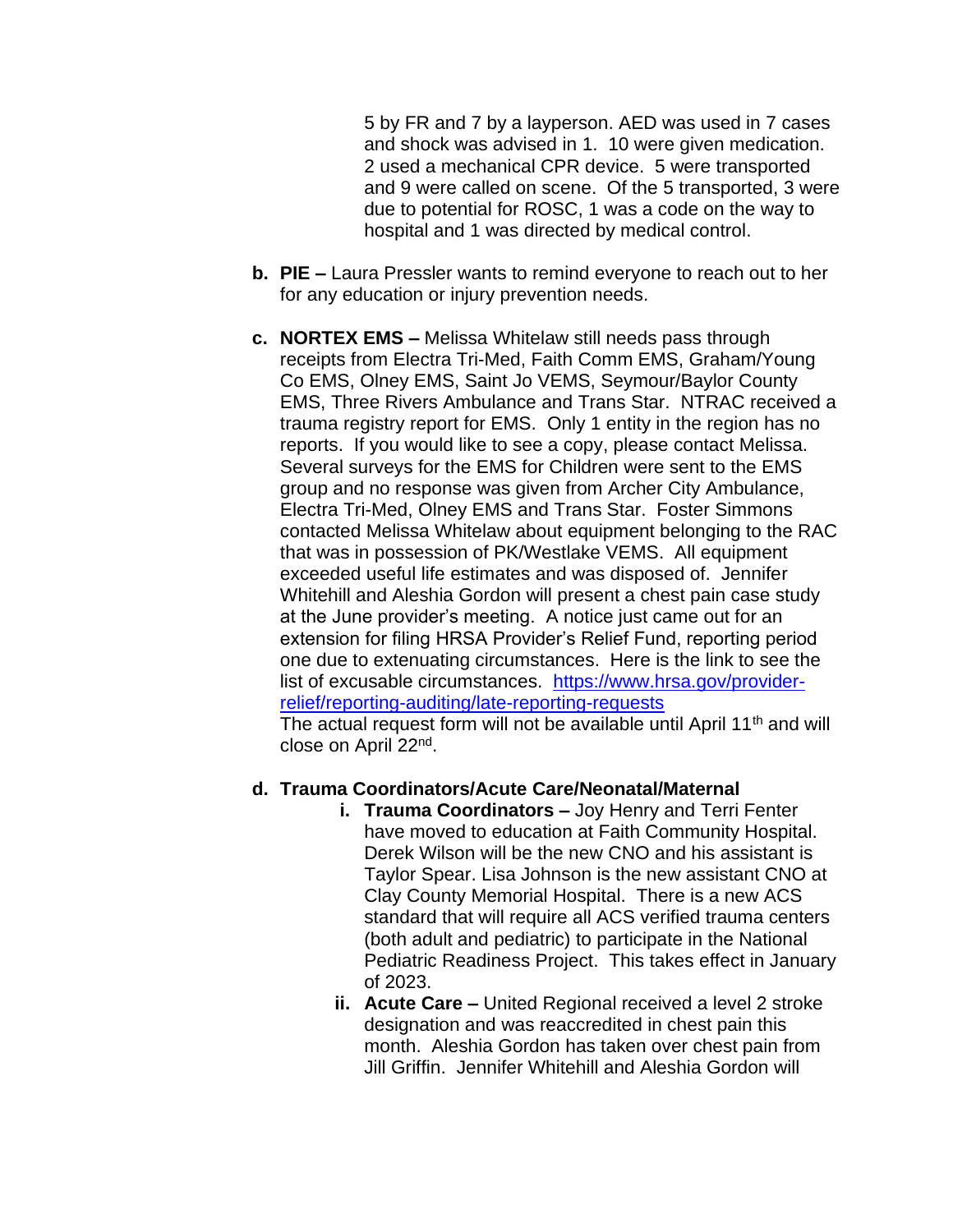5 by FR and 7 by a layperson. AED was used in 7 cases and shock was advised in 1. 10 were given medication. 2 used a mechanical CPR device. 5 were transported and 9 were called on scene. Of the 5 transported, 3 were due to potential for ROSC, 1 was a code on the way to hospital and 1 was directed by medical control.

- **b. PIE –** Laura Pressler wants to remind everyone to reach out to her for any education or injury prevention needs.
- **c. NORTEX EMS –** Melissa Whitelaw still needs pass through receipts from Electra Tri-Med, Faith Comm EMS, Graham/Young Co EMS, Olney EMS, Saint Jo VEMS, Seymour/Baylor County EMS, Three Rivers Ambulance and Trans Star. NTRAC received a trauma registry report for EMS. Only 1 entity in the region has no reports. If you would like to see a copy, please contact Melissa. Several surveys for the EMS for Children were sent to the EMS group and no response was given from Archer City Ambulance, Electra Tri-Med, Olney EMS and Trans Star. Foster Simmons contacted Melissa Whitelaw about equipment belonging to the RAC that was in possession of PK/Westlake VEMS. All equipment exceeded useful life estimates and was disposed of. Jennifer Whitehill and Aleshia Gordon will present a chest pain case study at the June provider's meeting. A notice just came out for an extension for filing HRSA Provider's Relief Fund, reporting period one due to extenuating circumstances. Here is the link to see the list of excusable circumstances. [https://www.hrsa.gov/provider](https://www.hrsa.gov/provider-relief/reporting-auditing/late-reporting-requests)[relief/reporting-auditing/late-reporting-requests](https://www.hrsa.gov/provider-relief/reporting-auditing/late-reporting-requests)

The actual request form will not be available until April 11<sup>th</sup> and will close on April 22<sup>nd</sup>.

#### **d. Trauma Coordinators/Acute Care/Neonatal/Maternal**

- **i. Trauma Coordinators –** Joy Henry and Terri Fenter have moved to education at Faith Community Hospital. Derek Wilson will be the new CNO and his assistant is Taylor Spear. Lisa Johnson is the new assistant CNO at Clay County Memorial Hospital. There is a new ACS standard that will require all ACS verified trauma centers (both adult and pediatric) to participate in the National Pediatric Readiness Project. This takes effect in January of 2023.
- **ii. Acute Care –** United Regional received a level 2 stroke designation and was reaccredited in chest pain this month. Aleshia Gordon has taken over chest pain from Jill Griffin. Jennifer Whitehill and Aleshia Gordon will